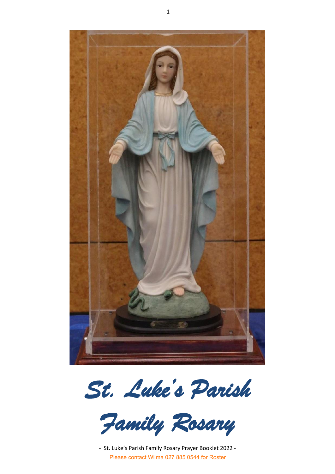





- St. Luke's Parish Family Rosary Prayer Booklet 2022 - Please contact Wilma 027 885 0544 for Roster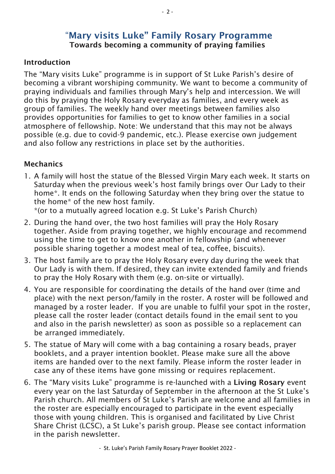# "Mary visits Luke" Family Rosary Programme Towards becoming a community of praying families

## Introduction

The "Mary visits Luke" programme is in support of St Luke Parish's desire of becoming a vibrant worshiping community. We want to become a community of praying individuals and families through Mary's help and intercession. We will do this by praying the Holy Rosary everyday as families, and every week as group of families. The weekly hand over meetings between families also provides opportunities for families to get to know other families in a social atmosphere of fellowship. Note: We understand that this may not be always possible (e.g. due to covid-9 pandemic, etc.). Please exercise own judgement and also follow any restrictions in place set by the authorities.

# **Mechanics**

1. A family will host the statue of the Blessed Virgin Mary each week. It starts on Saturday when the previous week's host family brings over Our Lady to their home\*. It ends on the following Saturday when they bring over the statue to the home\* of the new host family.

\*(or to a mutually agreed location e.g. St Luke's Parish Church)

- 2. During the hand over, the two host families will pray the Holy Rosary together. Aside from praying together, we highly encourage and recommend using the time to get to know one another in fellowship (and whenever possible sharing together a modest meal of tea, coffee, biscuits).
- 3. The host family are to pray the Holy Rosary every day during the week that Our Lady is with them. If desired, they can invite extended family and friends to pray the Holy Rosary with them (e.g. on-site or virtually).
- 4. You are responsible for coordinating the details of the hand over (time and place) with the next person/family in the roster. A roster will be followed and managed by a roster leader. If you are unable to fulfil your spot in the roster, please call the roster leader (contact details found in the email sent to you and also in the parish newsletter) as soon as possible so a replacement can be arranged immediately.
- 5. The statue of Mary will come with a bag containing a rosary beads, prayer booklets, and a prayer intention booklet. Please make sure all the above items are handed over to the next family. Please inform the roster leader in case any of these items have gone missing or requires replacement.
- 6. The "Mary visits Luke" programme is re-launched with a Living Rosary event every year on the last Saturday of September in the afternoon at the St Luke's Parish church. All members of St Luke's Parish are welcome and all families in the roster are especially encouraged to participate in the event especially those with young children. This is organised and facilitated by Live Christ Share Christ (LCSC), a St Luke's parish group. Please see contact information in the parish newsletter.

<sup>-</sup> St. Luke's Parish Family Rosary Prayer Booklet 2022 -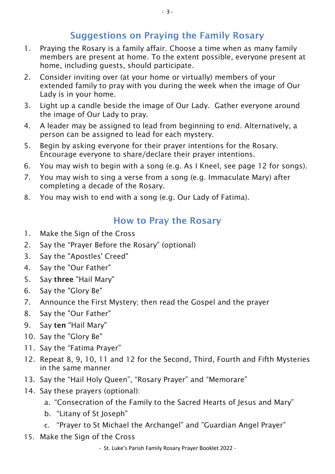# Suggestions on Praying the Family Rosary

- 1. Praying the Rosary is a family affair. Choose a time when as many family members are present at home. To the extent possible, everyone present at home, including guests, should participate.
- 2. Consider inviting over (at your home or virtually) members of your extended family to pray with you during the week when the image of Our Lady is in your home.
- 3. Light up a candle beside the image of Our Lady. Gather everyone around the image of Our Lady to pray.
- 4. A leader may be assigned to lead from beginning to end. Alternatively, a person can be assigned to lead for each mystery.
- 5. Begin by asking everyone for their prayer intentions for the Rosary. Encourage everyone to share/declare their prayer intentions.
- 6. You may wish to begin with a song (e.g. As I Kneel, see page 12 for songs).
- 7. You may wish to sing a verse from a song (e.g. Immaculate Mary) after completing a decade of the Rosary.
- 8. You may wish to end with a song (e.g. Our Lady of Fatima).

# How to Pray the Rosary

- 1. Make the Sign of the Cross
- 2. Say the "Prayer Before the Rosary" (optional)
- 3. Say the "Apostles' Creed"
- 4. Say the "Our Father"
- 5. Say three "Hail Mary"
- 6. Say the "Glory Be"
- 7. Announce the First Mystery; then read the Gospel and the prayer
- 8. Say the "Our Father"
- 9. Say ten "Hail Mary"
- 10. Say the "Glory Be"
- 11. Say the "Fatima Prayer"
- 12. Repeat 8, 9, 10, 11 and 12 for the Second, Third, Fourth and Fifth Mysteries in the same manner
- 13. Say the "Hail Holy Queen", "Rosary Prayer" and "Memorare"
- 14. Say these prayers (optional):
	- a. "Consecration of the Family to the Sacred Hearts of Jesus and Mary"
	- b. "Litany of St Joseph"
	- c. "Prayer to St Michael the Archangel" and "Guardian Angel Prayer"
- 15. Make the Sign of the Cross
	- St. Luke's Parish Family Rosary Prayer Booklet 2022 -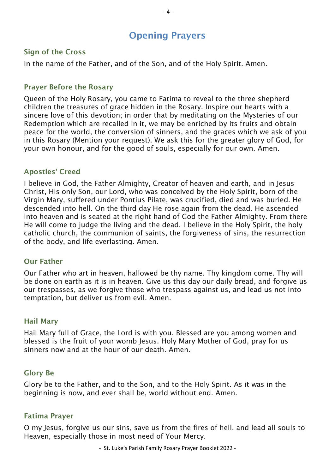# Opening Prayers

### Sign of the Cross

In the name of the Father, and of the Son, and of the Holy Spirit. Amen.

#### Prayer Before the Rosary

Queen of the Holy Rosary, you came to Fatima to reveal to the three shepherd children the treasures of grace hidden in the Rosary. Inspire our hearts with a sincere love of this devotion; in order that by meditating on the Mysteries of our Redemption which are recalled in it, we may be enriched by its fruits and obtain peace for the world, the conversion of sinners, and the graces which we ask of you in this Rosary (Mention your request). We ask this for the greater glory of God, for your own honour, and for the good of souls, especially for our own. Amen.

#### Apostles' Creed

I believe in God, the Father Almighty, Creator of heaven and earth, and in Jesus Christ, His only Son, our Lord, who was conceived by the Holy Spirit, born of the Virgin Mary, suffered under Pontius Pilate, was crucified, died and was buried. He descended into hell. On the third day He rose again from the dead. He ascended into heaven and is seated at the right hand of God the Father Almighty. From there He will come to judge the living and the dead. I believe in the Holy Spirit, the holy catholic church, the communion of saints, the forgiveness of sins, the resurrection of the body, and life everlasting. Amen.

#### Our Father

Our Father who art in heaven, hallowed be thy name. Thy kingdom come. Thy will be done on earth as it is in heaven. Give us this day our daily bread, and forgive us our trespasses, as we forgive those who trespass against us, and lead us not into temptation, but deliver us from evil. Amen.

#### Hail Mary

Hail Mary full of Grace, the Lord is with you. Blessed are you among women and blessed is the fruit of your womb Jesus. Holy Mary Mother of God, pray for us sinners now and at the hour of our death. Amen.

### Glory Be

Glory be to the Father, and to the Son, and to the Holy Spirit. As it was in the beginning is now, and ever shall be, world without end. Amen.

#### Fatima Prayer

O my Jesus, forgive us our sins, save us from the fires of hell, and lead all souls to Heaven, especially those in most need of Your Mercy.

- St. Luke's Parish Family Rosary Prayer Booklet 2022 -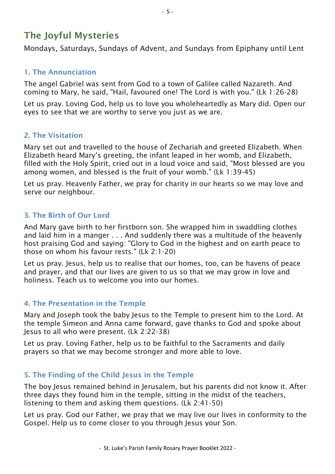# The Joyful Mysteries

Mondays, Saturdays, Sundays of Advent, and Sundays from Epiphany until Lent

## 1. The Annunciation

The angel Gabriel was sent from God to a town of Galilee called Nazareth. And coming to Mary, he said, "Hail, favoured one! The Lord is with you." (Lk 1:26-28)

Let us pray. Loving God, help us to love you wholeheartedly as Mary did. Open our eyes to see that we are worthy to serve you just as we are.

# 2. The Visitation

Mary set out and travelled to the house of Zechariah and greeted Elizabeth. When Elizabeth heard Mary's greeting, the infant leaped in her womb, and Elizabeth, filled with the Holy Spirit, cried out in a loud voice and said, "Most blessed are you among women, and blessed is the fruit of your womb." (Lk 1:39-45)

Let us pray. Heavenly Father, we pray for charity in our hearts so we may love and serve our neighbour.

## 3. The Birth of Our Lord

And Mary gave birth to her firstborn son. She wrapped him in swaddling clothes and laid him in a manger . . . And suddenly there was a multitude of the heavenly host praising God and saying: "Glory to God in the highest and on earth peace to those on whom his favour rests." (Lk 2:1-20)

Let us pray. Jesus, help us to realise that our homes, too, can be havens of peace and prayer, and that our lives are given to us so that we may grow in love and holiness. Teach us to welcome you into our homes.

# 4. The Presentation in the Temple

Mary and Joseph took the baby Jesus to the Temple to present him to the Lord. At the temple Simeon and Anna came forward, gave thanks to God and spoke about Jesus to all who were present. (Lk 2:22-38)

Let us pray. Loving Father, help us to be faithful to the Sacraments and daily prayers so that we may become stronger and more able to love.

# 5. The Finding of the Child Jesus in the Temple

The boy Jesus remained behind in Jerusalem, but his parents did not know it. After three days they found him in the temple, sitting in the midst of the teachers, listening to them and asking them questions. (Lk 2:41-50)

Let us pray. God our Father, we pray that we may live our lives in conformity to the Gospel. Help us to come closer to you through Jesus your Son.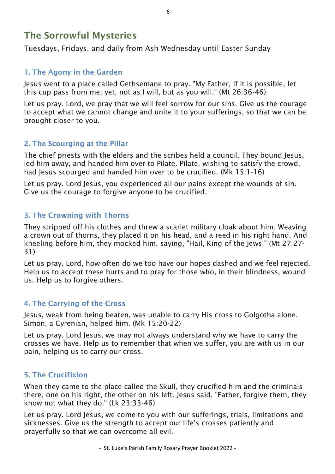# [The](http://www.familyrosary.org/videopopup.aspx?d=fb&v=/GetInspired/MediaCenter/Videos/SorrowfulReflections.aspx) Sorrowful Mysteries

Tuesdays, Fridays, and daily from Ash Wednesday until Easter Sunday

## 1. The Agony in the Garden

Jesus went to a place called Gethsemane to pray. "My Father, if it is possible, let this cup pass from me; yet, not as I will, but as you will." (Mt 26:36-46)

Let us pray. Lord, we pray that we will feel sorrow for our sins. Give us the courage to accept what we cannot change and unite it to your sufferings, so that we can be brought closer to you.

# 2. The Scourging at the Pillar

The chief priests with the elders and the scribes held a council. They bound Jesus, led him away, and handed him over to Pilate. Pilate, wishing to satisfy the crowd, had Jesus scourged and handed him over to be crucified. (Mk 15:1-16)

Let us pray. Lord Jesus, you experienced all our pains except the wounds of sin. Give us the courage to forgive anyone to be crucified.

### 3. The Crowning with Thorns

They stripped off his clothes and threw a scarlet military cloak about him. Weaving a crown out of thorns, they placed it on his head, and a reed in his right hand. And kneeling before him, they mocked him, saying, "Hail, King of the Jews!" (Mt 27:27- 31)

Let us pray. Lord, how often do we too have our hopes dashed and we feel rejected. Help us to accept these hurts and to pray for those who, in their blindness, wound us. Help us to forgive others.

# 4. The Carrying of the Cross

Jesus, weak from being beaten, was unable to carry His cross to Golgotha alone. Simon, a Cyrenian, helped him. (Mk 15:20-22)

Let us pray. Lord Jesus, we may not always understand why we have to carry the crosses we have. Help us to remember that when we suffer, you are with us in our pain, helping us to carry our cross.

### 5. The Crucifixion

When they came to the place called the Skull, they crucified him and the criminals there, one on his right, the other on his left. Jesus said, "Father, forgive them, they know not what they do." (Lk 23:33-46)

Let us pray. Lord Jesus, we come to you with our sufferings, trials, limitations and sicknesses. Give us the strength to accept our life's crosses patiently and prayerfully so that we can overcome all evil.

<sup>-</sup> St. Luke's Parish Family Rosary Prayer Booklet 2022 -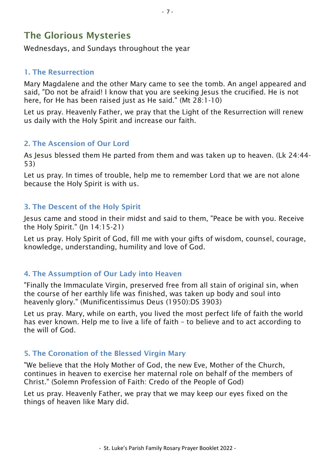# The Glorious Mysteries

Wednesdays, and Sundays throughout the year

### 1. The Resurrection

Mary Magdalene and the other Mary came to see the tomb. An angel appeared and said, "Do not be afraid! I know that you are seeking Jesus the crucified. He is not here, for He has been raised just as He said." (Mt 28:1-10)

Let us pray. Heavenly Father, we pray that the Light of the Resurrection will renew us daily with the Holy Spirit and increase our faith.

## 2. The Ascension of Our Lord

As Jesus blessed them He parted from them and was taken up to heaven. (Lk 24:44- 53)

Let us pray. In times of trouble, help me to remember Lord that we are not alone because the Holy Spirit is with us.

## 3. The Descent of the Holy Spirit

Jesus came and stood in their midst and said to them, "Peace be with you. Receive the Holy Spirit." (Jn 14:15-21)

Let us pray. Holy Spirit of God, fill me with your gifts of wisdom, counsel, courage, knowledge, understanding, humility and love of God.

# 4. The Assumption of Our Lady into Heaven

"Finally the Immaculate Virgin, preserved free from all stain of original sin, when the course of her earthly life was finished, was taken up body and soul into heavenly glory." (Munificentissimus Deus (1950):DS 3903)

Let us pray. Mary, while on earth, you lived the most perfect life of faith the world has ever known. Help me to live a life of faith – to believe and to act according to the will of God.

### 5. The Coronation of the Blessed Virgin Mary

"We believe that the Holy Mother of God, the new Eve, Mother of the Church, continues in heaven to exercise her maternal role on behalf of the members of Christ." (Solemn Profession of Faith: Credo of the People of God)

Let us pray. Heavenly Father, we pray that we may keep our eyes fixed on the things of heaven like Mary did.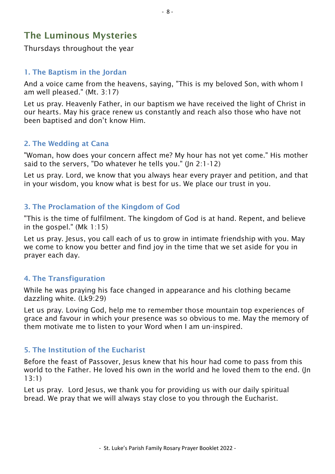# The Luminous Mysteries

Thursdays throughout the year

# 1. The Baptism in the Jordan

And a voice came from the heavens, saying, "This is my beloved Son, with whom I am well pleased." (Mt. 3:17)

Let us pray. Heavenly Father, in our baptism we have received the light of Christ in our hearts. May his grace renew us constantly and reach also those who have not been baptised and don't know Him.

# 2. The Wedding at Cana

"Woman, how does your concern affect me? My hour has not yet come." His mother said to the servers, "Do whatever he tells you." (Jn 2:1-12)

Let us pray. Lord, we know that you always hear every prayer and petition, and that in your wisdom, you know what is best for us. We place our trust in you.

# 3. The Proclamation of the Kingdom of God

"This is the time of fulfilment. The kingdom of God is at hand. Repent, and believe in the gospel." (Mk 1:15)

Let us pray. Jesus, you call each of us to grow in intimate friendship with you. May we come to know you better and find joy in the time that we set aside for you in prayer each day.

# 4. The Transfiguration

While he was praying his face changed in appearance and his clothing became dazzling white. (Lk9:29)

Let us pray. Loving God, help me to remember those mountain top experiences of grace and favour in which your presence was so obvious to me. May the memory of them motivate me to listen to your Word when I am un-inspired.

# 5. The Institution of the Eucharist

Before the feast of Passover, Jesus knew that his hour had come to pass from this world to the Father. He loved his own in the world and he loved them to the end. (Jn 13:1)

Let us pray. Lord Jesus, we thank you for providing us with our daily spiritual bread. We pray that we will always stay close to you through the Eucharist.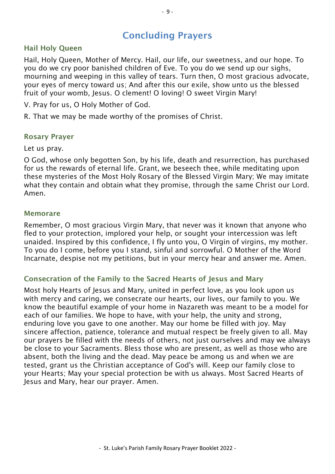# Concluding Prayers

#### Hail Holy Queen

Hail, Holy Queen, Mother of Mercy. Hail, our life, our sweetness, and our hope. To you do we cry poor banished children of Eve. To you do we send up our sighs, mourning and weeping in this valley of tears. Turn then, O most gracious advocate, your eyes of mercy toward us; And after this our exile, show unto us the blessed fruit of your womb, Jesus. O clement! O loving! O sweet Virgin Mary!

V. Pray for us, O Holy Mother of God.

R. That we may be made worthy of the promises of Christ.

#### Rosary Prayer

Let us pray.

O God, whose only begotten Son, by his life, death and resurrection, has purchased for us the rewards of eternal life. Grant, we beseech thee, while meditating upon these mysteries of the Most Holy Rosary of the Blessed Virgin Mary; We may imitate what they contain and obtain what they promise, through the same Christ our Lord. Amen.

#### Memorare

Remember, O most gracious Virgin Mary, that never was it known that anyone who fled to your protection, implored your help, or sought your intercession was left unaided. Inspired by this confidence, I fly unto you, O Virgin of virgins, my mother. To you do I come, before you I stand, sinful and sorrowful. O Mother of the Word Incarnate, despise not my petitions, but in your mercy hear and answer me. Amen.

#### Consecration of the Family to the Sacred Hearts of Jesus and Mary

Most holy Hearts of Jesus and Mary, united in perfect love, as you look upon us with mercy and caring, we consecrate our hearts, our lives, our family to you. We know the beautiful example of your home in Nazareth was meant to be a model for each of our families. We hope to have, with your help, the unity and strong, enduring love you gave to one another. May our home be filled with joy. May sincere affection, patience, tolerance and mutual respect be freely given to all. May our prayers be filled with the needs of others, not just ourselves and may we always be close to your Sacraments. Bless those who are present, as well as those who are absent, both the living and the dead. May peace be among us and when we are tested, grant us the Christian acceptance of God's will. Keep our family close to your Hearts; May your special protection be with us always. Most Sacred Hearts of Jesus and Mary, hear our prayer. Amen.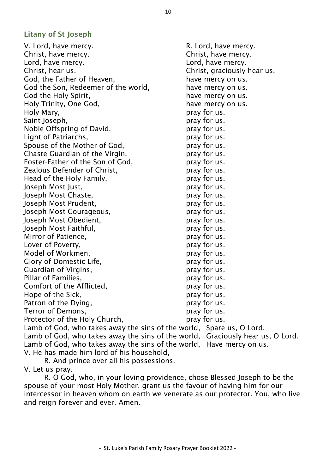#### Litany of St Joseph

V. Lord, have mercy. The same state of the R. Lord, have mercy. Christ, have mercy. Christ, have mercy. Lord, have mercy. Lord, have mercy. Christ, hear us. Christ, graciously hear us. God, the Father of Heaven, have mercy on us. God the Son, Redeemer of the world, have mercy on us. God the Holy Spirit, **have mercy on us.** Holy Trinity, One God, have mercy on us. Holy Mary, the contract of the pray for us. Saint Joseph, pray for us. Noble Offspring of David, pray for us. Light of Patriarchs, the pray for us. Spouse of the Mother of God. The pray for us. Chaste Guardian of the Virgin, pray for us. Foster-Father of the Son of God, pray for us. Zealous Defender of Christ, example 2 and pray for us. Head of the Holy Family, the pray for us. Joseph Most Just, The Contract of the pray for us. Joseph Most Chaste, pray for us. Joseph Most Prudent, The Contract of the pray for us. Joseph Most Courageous, The Contract of the pray for us. Joseph Most Obedient, the contract of the pray for us. Joseph Most Faithful, the control of the pray for us. Mirror of Patience, and the pray for us. Lover of Poverty, the contract of the pray for us. Model of Workmen, the contract of the pray for us. Glory of Domestic Life, pray for us. Guardian of Virgins, and the control of the pray for us. Pillar of Families, pray for us. Comfort of the Afflicted, each comparison of the Afflicted, Hope of the Sick, pray for us. Patron of the Dying, pray for us. Terror of Demons, Terror of Demons, Protector of the Holy Church, pray for us. Lamb of God, who takes away the sins of the world, Spare us, O Lord.

Lamb of God, who takes away the sins of the world, Graciously hear us, O Lord. Lamb of God, who takes away the sins of the world, Have mercy on us. V. He has made him lord of his household,

R. And prince over all his possessions. V. Let us pray.

R. O God, who, in your loving providence, chose Blessed Joseph to be the spouse of your most Holy Mother, grant us the favour of having him for our intercessor in heaven whom on earth we venerate as our protector. You, who live and reign forever and ever. Amen.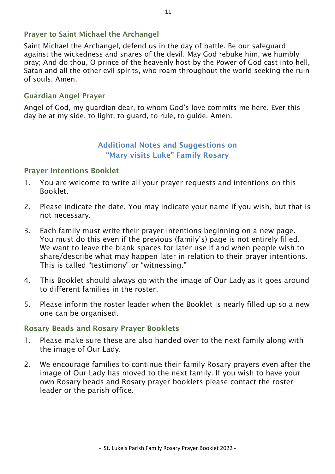### Prayer to Saint Michael the Archangel

Saint Michael the Archangel, defend us in the day of battle. Be our safeguard against the wickedness and snares of the devil. May God rebuke him, we humbly pray; And do thou, O prince of the heavenly host by the Power of God cast into hell, Satan and all the other evil spirits, who roam throughout the world seeking the ruin of souls. Amen.

#### Guardian Angel Prayer

Angel of God, my guardian dear, to whom God's love commits me here. Ever this day be at my side, to light, to guard, to rule, to guide. Amen.

## Additional Notes and Suggestions on "Mary visits Luke" Family Rosary

#### Prayer Intentions Booklet

- 1. You are welcome to write all your prayer requests and intentions on this Booklet.
- 2. Please indicate the date. You may indicate your name if you wish, but that is not necessary.
- 3. Each family must write their prayer intentions beginning on a new page. You must do this even if the previous (family's) page is not entirely filled. We want to leave the blank spaces for later use if and when people wish to share/describe what may happen later in relation to their prayer intentions. This is called "testimony" or "witnessing."
- 4. This Booklet should always go with the image of Our Lady as it goes around to different families in the roster.
- 5. Please inform the roster leader when the Booklet is nearly filled up so a new one can be organised.

#### Rosary Beads and Rosary Prayer Booklets

- 1. Please make sure these are also handed over to the next family along with the image of Our Lady.
- 2. We encourage families to continue their family Rosary prayers even after the image of Our Lady has moved to the next family. If you wish to have your own Rosary beads and Rosary prayer booklets please contact the roster leader or the parish office.